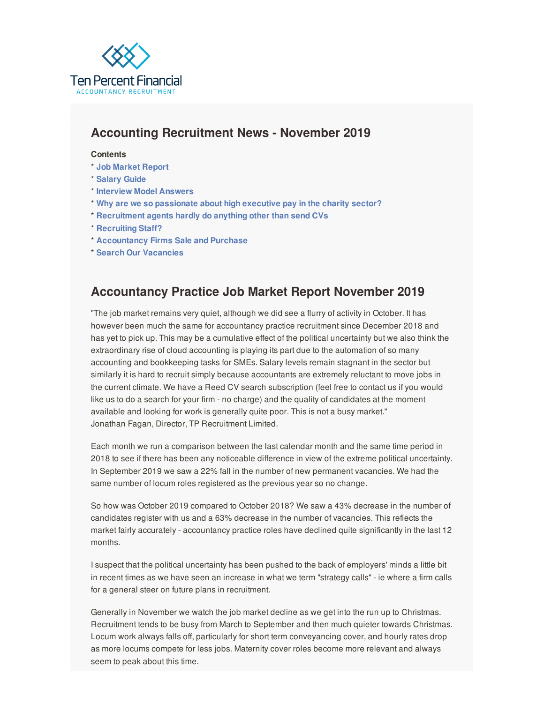<span id="page-0-0"></span>

# **Accounting Recruitment News - November 2019**

#### **Contents**

- \* **Job [Market](#page-0-0) Report**
- \* **[Salary](#page-0-0) Guide**
- \* **[Interview](#page-0-0) Model Answers**
- \* **Why are we so [passionate](#page-0-0) about high executive pay in the charity sector?**
- \* **[Recruitment](#page-0-0) agents hardly do anything other than send CVs**
- \* **[Recruiting](https://www.tenpercentfinancial.co.uk/register-a-vacancy/) Staff?**
- \* **[Accountancy](https://www.tenpercentfinancial.co.uk/buying-and-selling-a-practice/) Firms Sale and Purchase**
- \* **Search Our [Vacancies](https://www.tenpercentfinancial.co.uk/vacancies/)**

## **Accountancy Practice Job Market Report November 2019**

"The job market remains very quiet, although we did see a flurry of activity in October. It has however been much the same for accountancy practice recruitment since December 2018 and has yet to pick up. This may be a cumulative effect of the political uncertainty but we also think the extraordinary rise of cloud accounting is playing its part due to the automation of so many accounting and bookkeeping tasks for SMEs. Salary levels remain stagnant in the sector but similarly it is hard to recruit simply because accountants are extremely reluctant to move jobs in the current climate. We have a Reed CV search subscription (feel free to contact us if you would like us to do a search for your firm - no charge) and the quality of candidates at the moment available and looking for work is generally quite poor. This is not a busy market." Jonathan Fagan, Director, TP Recruitment Limited.

Each month we run a comparison between the last calendar month and the same time period in 2018 to see if there has been any noticeable difference in view of the extreme political uncertainty. In September 2019 we saw a 22% fall in the number of new permanent vacancies. We had the same number of locum roles registered as the previous year so no change.

So how was October 2019 compared to October 2018? We saw a 43% decrease in the number of candidates register with us and a 63% decrease in the number of vacancies. This reflects the market fairly accurately - accountancy practice roles have declined quite significantly in the last 12 months.

I suspect that the political uncertainty has been pushed to the back of employers' minds a little bit in recent times as we have seen an increase in what we term "strategy calls" - ie where a firm calls for a general steer on future plans in recruitment.

Generally in November we watch the job market decline as we get into the run up to Christmas. Recruitment tends to be busy from March to September and then much quieter towards Christmas. Locum work always falls off, particularly for short term conveyancing cover, and hourly rates drop as more locums compete for less jobs. Maternity cover roles become more relevant and always seem to peak about this time.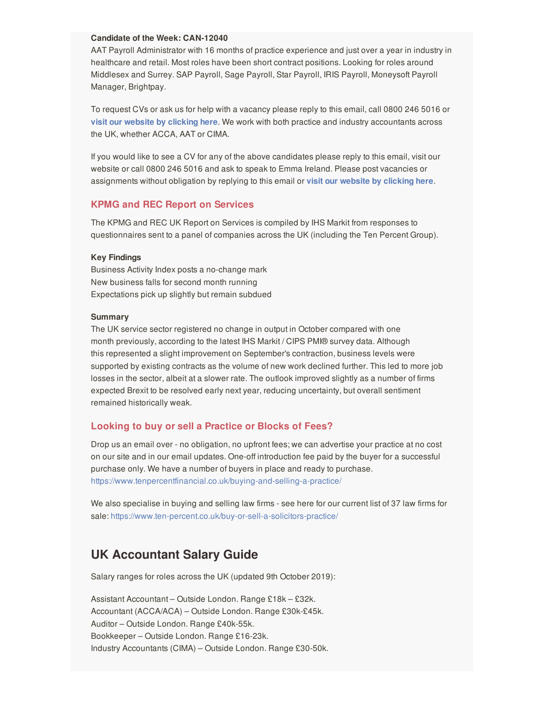#### **Candidate of the Week: CAN-12040**

AAT Payroll Administrator with 16 months of practice experience and just over a year in industry in healthcare and retail. Most roles have been short contract positions. Looking for roles around Middlesex and Surrey. SAP Payroll, Sage Payroll, Star Payroll, IRIS Payroll, Moneysoft Payroll Manager, Brightpay.

To request CVs or ask us for help with a vacancy please reply to this email, call 0800 246 5016 or **visit our website by [clicking](https://www.tenpercentfinancial.co.uk/register-a-vacancy/) here**. We work with both practice and industry accountants across the UK, whether ACCA, AAT or CIMA.

If you would like to see a CV for any of the above candidates please reply to this email, visit our website or call 0800 246 5016 and ask to speak to Emma Ireland. Please post vacancies or assignments without obligation by replying to this email or **visit our website by [clicking](https://www.tenpercentfinancial.co.uk/register-a-vacancy/) here**.

#### **KPMG and REC Report on Services**

The KPMG and REC UK Report on Services is compiled by IHS Markit from responses to questionnaires sent to a panel of companies across the UK (including the Ten Percent Group).

#### **Key Findings**

Business Activity Index posts a no-change mark New business falls for second month running Expectations pick up slightly but remain subdued

#### **Summary**

The UK service sector registered no change in output in October compared with one month previously, according to the latest IHS Markit / CIPS PMI® survey data. Although this represented a slight improvement on September's contraction, business levels were supported by existing contracts as the volume of new work declined further. This led to more job losses in the sector, albeit at a slower rate. The outlook improved slightly as a number of firms expected Brexit to be resolved early next year, reducing uncertainty, but overall sentiment remained historically weak.

#### **Looking to buy or sell a Practice or Blocks of Fees?**

Drop us an email over - no obligation, no upfront fees; we can advertise your practice at no cost on our site and in our email updates. One-off introduction fee paid by the buyer for a successful purchase only. We have a number of buyers in place and ready to purchase. <https://www.tenpercentfinancial.co.uk/buying-and-selling-a-practice/>

We also specialise in buying and selling law firms - see here for our current list of 37 law firms for sale: <https://www.ten-percent.co.uk/buy-or-sell-a-solicitors-practice/>

## **UK Accountant Salary Guide**

Salary ranges for roles across the UK (updated 9th October 2019):

Assistant Accountant – Outside London. Range £18k – £32k. Accountant (ACCA/ACA) – Outside London. Range £30k-£45k. Auditor – Outside London. Range £40k-55k. Bookkeeper – Outside London. Range £16-23k. Industry Accountants (CIMA) – Outside London. Range £30-50k.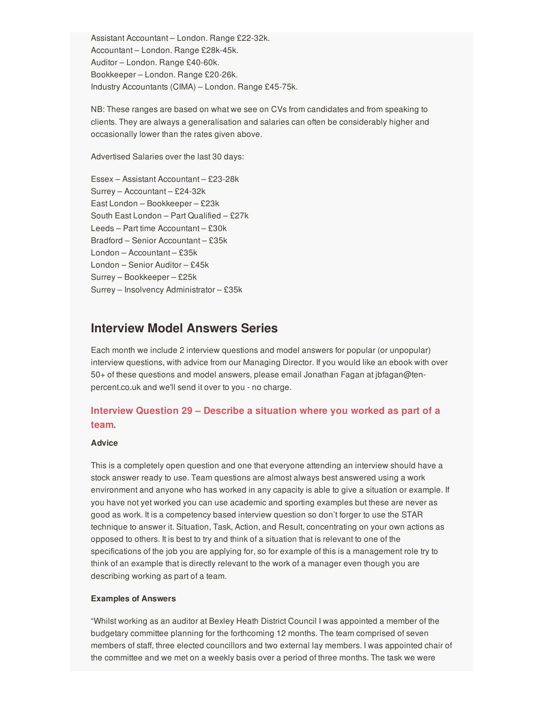Assistant Accountant – London. Range £22-32k. Accountant – London. Range £28k-45k. Auditor – London. Range £40-60k. Bookkeeper – London. Range £20-26k. Industry Accountants (CIMA) – London. Range £45-75k.

NB: These ranges are based on what we see on CVs from candidates and from speaking to clients. They are always a generalisation and salaries can often be considerably higher and occasionally lower than the rates given above.

Advertised Salaries over the last 30 days:

Essex – Assistant Accountant – £23-28k Surrey – Accountant – £24-32k East London – Bookkeeper – £23k South East London – Part Qualified – £27k Leeds – Part time Accountant – £30k Bradford – Senior Accountant – £35k London – Accountant – £35k London – Senior Auditor – £45k Surrey – Bookkeeper – £25k Surrey – Insolvency Administrator – £35k

### **Interview Model Answers Series**

Each month we include 2 interview questions and model answers for popular (or unpopular) interview questions, with advice from our Managing Director. If you would like an ebook with over 50+ of these questions and model answers, please email Jonathan Fagan at jbfagan@tenpercent.co.uk and we'll send it over to you - no charge.

### **Interview Question 29 – Describe a situation where you worked as part of a team.**

#### **Advice**

This is a completely open question and one that everyone attending an interview should have a stock answer ready to use. Team questions are almost always best answered using a work environment and anyone who has worked in any capacity is able to give a situation or example. If you have not yet worked you can use academic and sporting examples but these are never as good as work. It is a competency based interview question so don't forger to use the STAR technique to answer it. Situation, Task, Action, and Result, concentrating on your own actions as opposed to others. It is best to try and think of a situation that is relevant to one of the specifications of the job you are applying for, so for example of this is a management role try to think of an example that is directly relevant to the work of a manager even though you are describing working as part of a team.

#### **Examples of Answers**

"Whilst working as an auditor at Bexley Heath District Council I was appointed a member of the budgetary committee planning for the forthcoming 12 months. The team comprised of seven members of staff, three elected councillors and two external lay members. I was appointed chair of the committee and we met on a weekly basis over a period of three months. The task we were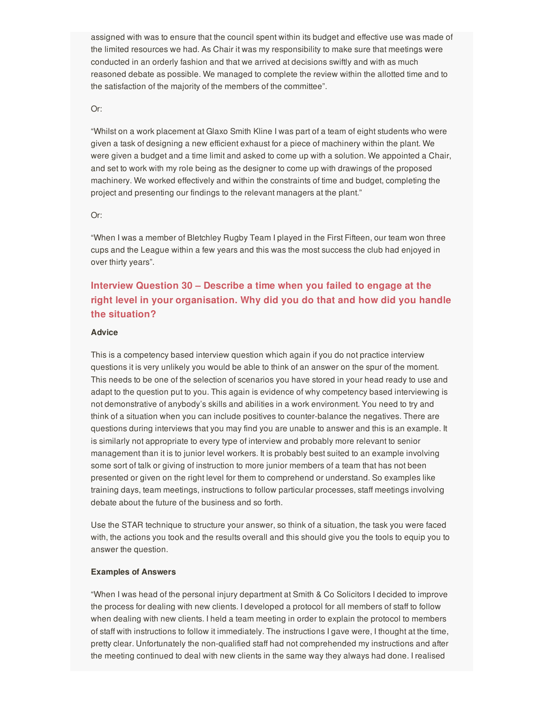assigned with was to ensure that the council spent within its budget and effective use was made of the limited resources we had. As Chair it was my responsibility to make sure that meetings were conducted in an orderly fashion and that we arrived at decisions swiftly and with as much reasoned debate as possible. We managed to complete the review within the allotted time and to the satisfaction of the majority of the members of the committee".

#### Or:

"Whilst on a work placement at Glaxo Smith Kline I was part of a team of eight students who were given a task of designing a new efficient exhaust for a piece of machinery within the plant. We were given a budget and a time limit and asked to come up with a solution. We appointed a Chair, and set to work with my role being as the designer to come up with drawings of the proposed machinery. We worked effectively and within the constraints of time and budget, completing the project and presenting our findings to the relevant managers at the plant."

#### Or:

"When I was a member of Bletchley Rugby Team I played in the First Fifteen, our team won three cups and the League within a few years and this was the most success the club had enjoyed in over thirty years".

## **Interview Question 30 – Describe a time when you failed to engage at the right level in your organisation. Why did you do that and how did you handle the situation?**

#### **Advice**

This is a competency based interview question which again if you do not practice interview questions it is very unlikely you would be able to think of an answer on the spur of the moment. This needs to be one of the selection of scenarios you have stored in your head ready to use and adapt to the question put to you. This again is evidence of why competency based interviewing is not demonstrative of anybody's skills and abilities in a work environment. You need to try and think of a situation when you can include positives to counter-balance the negatives. There are questions during interviews that you may find you are unable to answer and this is an example. It is similarly not appropriate to every type of interview and probably more relevant to senior management than it is to junior level workers. It is probably best suited to an example involving some sort of talk or giving of instruction to more junior members of a team that has not been presented or given on the right level for them to comprehend or understand. So examples like training days, team meetings, instructions to follow particular processes, staff meetings involving debate about the future of the business and so forth.

Use the STAR technique to structure your answer, so think of a situation, the task you were faced with, the actions you took and the results overall and this should give you the tools to equip you to answer the question.

#### **Examples of Answers**

"When I was head of the personal injury department at Smith & Co Solicitors I decided to improve the process for dealing with new clients. I developed a protocol for all members of staff to follow when dealing with new clients. I held a team meeting in order to explain the protocol to members of staff with instructions to follow it immediately. The instructions I gave were, I thought at the time, pretty clear. Unfortunately the non-qualified staff had not comprehended my instructions and after the meeting continued to deal with new clients in the same way they always had done. I realised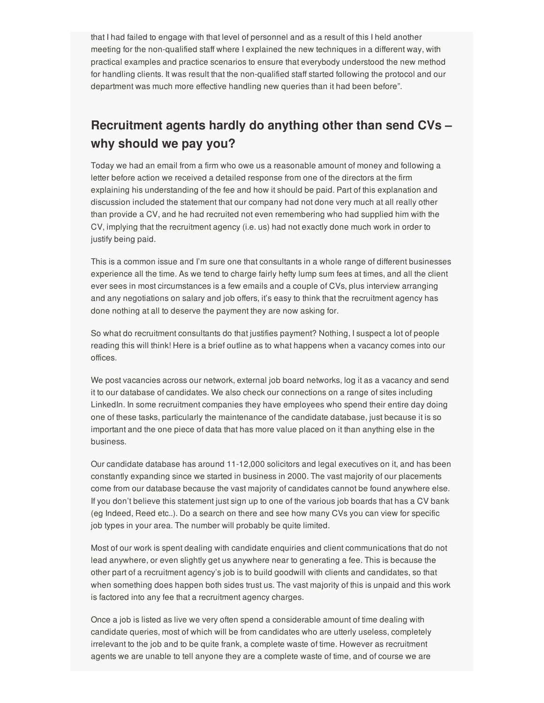that I had failed to engage with that level of personnel and as a result of this I held another meeting for the non-qualified staff where I explained the new techniques in a different way, with practical examples and practice scenarios to ensure that everybody understood the new method for handling clients. It was result that the non-qualified staff started following the protocol and our department was much more effective handling new queries than it had been before".

# **Recruitment agents hardly do anything other than send CVs – why should we pay you?**

Today we had an email from a firm who owe us a reasonable amount of money and following a letter before action we received a detailed response from one of the directors at the firm explaining his understanding of the fee and how it should be paid. Part of this explanation and discussion included the statement that our company had not done very much at all really other than provide a CV, and he had recruited not even remembering who had supplied him with the CV, implying that the recruitment agency (i.e. us) had not exactly done much work in order to justify being paid.

This is a common issue and I'm sure one that consultants in a whole range of different businesses experience all the time. As we tend to charge fairly hefty lump sum fees at times, and all the client ever sees in most circumstances is a few emails and a couple of CVs, plus interview arranging and any negotiations on salary and job offers, it's easy to think that the recruitment agency has done nothing at all to deserve the payment they are now asking for.

So what do recruitment consultants do that justifies payment? Nothing, I suspect a lot of people reading this will think! Here is a brief outline as to what happens when a vacancy comes into our offices.

We post vacancies across our network, external job board networks, log it as a vacancy and send it to our database of candidates. We also check our connections on a range of sites including LinkedIn. In some recruitment companies they have employees who spend their entire day doing one of these tasks, particularly the maintenance of the candidate database, just because it is so important and the one piece of data that has more value placed on it than anything else in the business.

Our candidate database has around 11-12,000 solicitors and legal executives on it, and has been constantly expanding since we started in business in 2000. The vast majority of our placements come from our database because the vast majority of candidates cannot be found anywhere else. If you don't believe this statement just sign up to one of the various job boards that has a CV bank (eg Indeed, Reed etc..). Do a search on there and see how many CVs you can view for specific job types in your area. The number will probably be quite limited.

Most of our work is spent dealing with candidate enquiries and client communications that do not lead anywhere, or even slightly get us anywhere near to generating a fee. This is because the other part of a recruitment agency's job is to build goodwill with clients and candidates, so that when something does happen both sides trust us. The vast majority of this is unpaid and this work is factored into any fee that a recruitment agency charges.

Once a job is listed as live we very often spend a considerable amount of time dealing with candidate queries, most of which will be from candidates who are utterly useless, completely irrelevant to the job and to be quite frank, a complete waste of time. However as recruitment agents we are unable to tell anyone they are a complete waste of time, and of course we are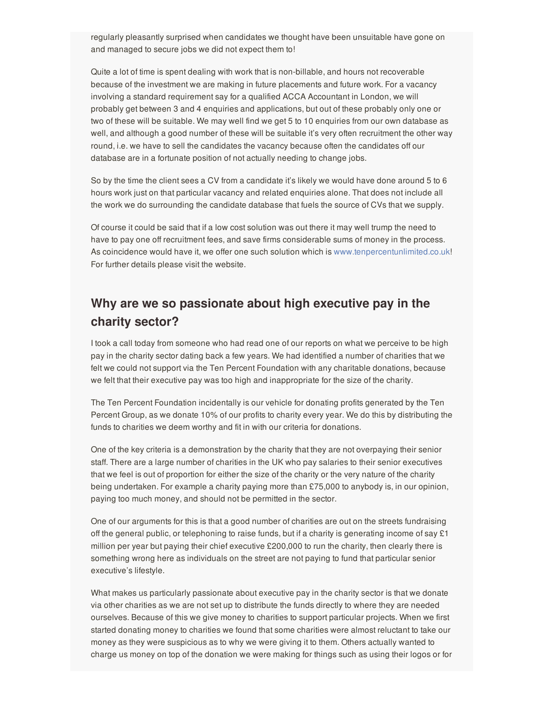regularly pleasantly surprised when candidates we thought have been unsuitable have gone on and managed to secure jobs we did not expect them to!

Quite a lot of time is spent dealing with work that is non-billable, and hours not recoverable because of the investment we are making in future placements and future work. For a vacancy involving a standard requirement say for a qualified ACCA Accountant in London, we will probably get between 3 and 4 enquiries and applications, but out of these probably only one or two of these will be suitable. We may well find we get 5 to 10 enquiries from our own database as well, and although a good number of these will be suitable it's very often recruitment the other way round, i.e. we have to sell the candidates the vacancy because often the candidates off our database are in a fortunate position of not actually needing to change jobs.

So by the time the client sees a CV from a candidate it's likely we would have done around 5 to 6 hours work just on that particular vacancy and related enquiries alone. That does not include all the work we do surrounding the candidate database that fuels the source of CVs that we supply.

Of course it could be said that if a low cost solution was out there it may well trump the need to have to pay one off recruitment fees, and save firms considerable sums of money in the process. As coincidence would have it, we offer one such solution which is [www.tenpercentunlimited.co.uk](https://www.tenpercentunlimited.co.uk)! For further details please visit the website.

# **Why are we so passionate about high executive pay in the charity sector?**

I took a call today from someone who had read one of our reports on what we perceive to be high pay in the charity sector dating back a few years. We had identified a number of charities that we felt we could not support via the Ten Percent Foundation with any charitable donations, because we felt that their executive pay was too high and inappropriate for the size of the charity.

The Ten Percent Foundation incidentally is our vehicle for donating profits generated by the Ten Percent Group, as we donate 10% of our profits to charity every year. We do this by distributing the funds to charities we deem worthy and fit in with our criteria for donations.

One of the key criteria is a demonstration by the charity that they are not overpaying their senior staff. There are a large number of charities in the UK who pay salaries to their senior executives that we feel is out of proportion for either the size of the charity or the very nature of the charity being undertaken. For example a charity paying more than £75,000 to anybody is, in our opinion, paying too much money, and should not be permitted in the sector.

One of our arguments for this is that a good number of charities are out on the streets fundraising off the general public, or telephoning to raise funds, but if a charity is generating income of say £1 million per year but paying their chief executive £200,000 to run the charity, then clearly there is something wrong here as individuals on the street are not paying to fund that particular senior executive's lifestyle.

What makes us particularly passionate about executive pay in the charity sector is that we donate via other charities as we are not set up to distribute the funds directly to where they are needed ourselves. Because of this we give money to charities to support particular projects. When we first started donating money to charities we found that some charities were almost reluctant to take our money as they were suspicious as to why we were giving it to them. Others actually wanted to charge us money on top of the donation we were making for things such as using their logos or for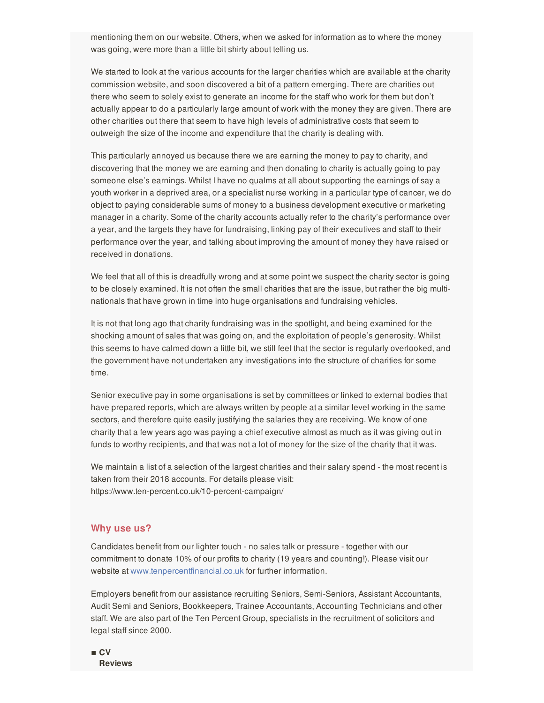mentioning them on our website. Others, when we asked for information as to where the money was going, were more than a little bit shirty about telling us.

We started to look at the various accounts for the larger charities which are available at the charity commission website, and soon discovered a bit of a pattern emerging. There are charities out there who seem to solely exist to generate an income for the staff who work for them but don't actually appear to do a particularly large amount of work with the money they are given. There are other charities out there that seem to have high levels of administrative costs that seem to outweigh the size of the income and expenditure that the charity is dealing with.

This particularly annoyed us because there we are earning the money to pay to charity, and discovering that the money we are earning and then donating to charity is actually going to pay someone else's earnings. Whilst I have no qualms at all about supporting the earnings of say a youth worker in a deprived area, or a specialist nurse working in a particular type of cancer, we do object to paying considerable sums of money to a business development executive or marketing manager in a charity. Some of the charity accounts actually refer to the charity's performance over a year, and the targets they have for fundraising, linking pay of their executives and staff to their performance over the year, and talking about improving the amount of money they have raised or received in donations.

We feel that all of this is dreadfully wrong and at some point we suspect the charity sector is going to be closely examined. It is not often the small charities that are the issue, but rather the big multinationals that have grown in time into huge organisations and fundraising vehicles.

It is not that long ago that charity fundraising was in the spotlight, and being examined for the shocking amount of sales that was going on, and the exploitation of people's generosity. Whilst this seems to have calmed down a little bit, we still feel that the sector is regularly overlooked, and the government have not undertaken any investigations into the structure of charities for some time.

Senior executive pay in some organisations is set by committees or linked to external bodies that have prepared reports, which are always written by people at a similar level working in the same sectors, and therefore quite easily justifying the salaries they are receiving. We know of one charity that a few years ago was paying a chief executive almost as much as it was giving out in funds to worthy recipients, and that was not a lot of money for the size of the charity that it was.

We maintain a list of a selection of the largest charities and their salary spend - the most recent is taken from their 2018 accounts. For details please visit: https://www.ten-percent.co.uk/10-percent-campaign/

#### **Why use us?**

Candidates benefit from our lighter touch - no sales talk or pressure - together with our commitment to donate 10% of our profits to charity (19 years and counting!). Please visit our website at [www.tenpercentfinancial.co.uk](https://www.tenpercentfinancial.co.uk) for further information.

Employers benefit from our assistance recruiting Seniors, Semi-Seniors, Assistant Accountants, Audit Semi and Seniors, Bookkeepers, Trainee Accountants, Accounting Technicians and other staff. We are also part of the Ten Percent Group, specialists in the recruitment of solicitors and legal staff since 2000.

 $\blacksquare$  **CV Reviews**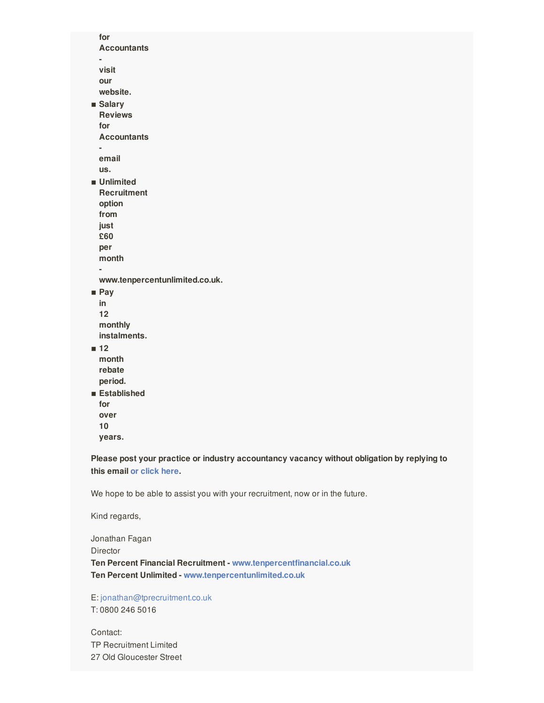**for Accountants visit our website.** ▪ **Salary Reviews for Accountants email us.**  $\blacksquare$  Unlimited **Recruitment option from just £60 per month www.tenpercentunlimited.co.uk.** ▪ **Pay in 12 monthly instalments.** ▪ **12 month rebate period.** ▪ **Established for over 10 years.**

**Please post your practice or industry accountancy vacancy without obligation by replying to this email or [click](https://www.tenpercentfinancial.co.uk/register-a-vacancy/) here.**

We hope to be able to assist you with your recruitment, now or in the future.

Kind regards,

Jonathan Fagan Director **Ten Percent Financial Recruitment - [www.tenpercentfinancial.co.uk](https://www.tenpercentfinancial.co.uk) Ten Percent Unlimited - [www.tenpercentunlimited.co.uk](http://www.tenpercentunlimited.co.uk)**

E: [jonathan@tprecruitment.co.uk](mailto:jonathan@tprecruitment.co.uk) T: 0800 246 5016

Contact: TP Recruitment Limited 27 Old Gloucester Street